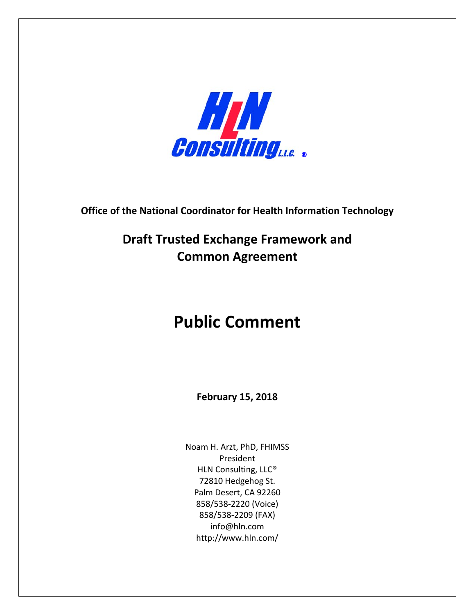

**Office of the National Coordinator for Health Information Technology** 

**Draft Trusted Exchange Framework and Common Agreement** 

## **Public Comment**

**February 15, 2018**

Noam H. Arzt, PhD, FHIMSS President HLN Consulting, LLC® 72810 Hedgehog St. Palm Desert, CA 92260 858/538‐2220 (Voice) 858/538‐2209 (FAX) info@hln.com http://www.hln.com/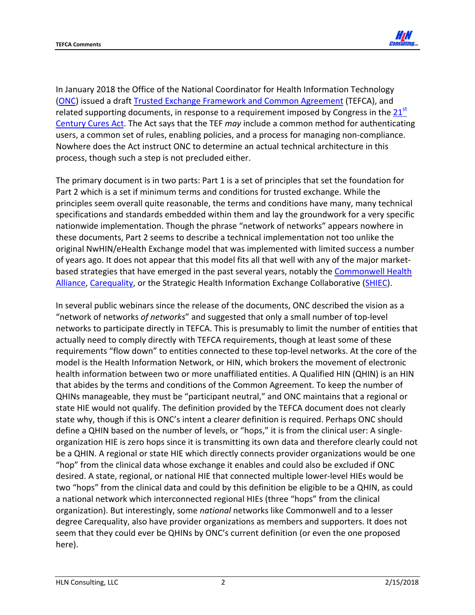

In January 2018 the Office of the National Coordinator for Health Information Technology (ONC) issued a draft Trusted Exchange Framework and Common Agreement (TEFCA), and related supporting documents, in response to a requirement imposed by Congress in the  $21<sup>st</sup>$ Century Cures Act. The Act says that the TEF *may* include a common method for authenticating users, a common set of rules, enabling policies, and a process for managing non‐compliance. Nowhere does the Act instruct ONC to determine an actual technical architecture in this process, though such a step is not precluded either.

The primary document is in two parts: Part 1 is a set of principles that set the foundation for Part 2 which is a set if minimum terms and conditions for trusted exchange. While the principles seem overall quite reasonable, the terms and conditions have many, many technical specifications and standards embedded within them and lay the groundwork for a very specific nationwide implementation. Though the phrase "network of networks" appears nowhere in these documents, Part 2 seems to describe a technical implementation not too unlike the original NwHIN/eHealth Exchange model that was implemented with limited success a number of years ago. It does not appear that this model fits all that well with any of the major market‐ based strategies that have emerged in the past several years, notably the Commonwell Health Alliance, Carequality, or the Strategic Health Information Exchange Collaborative (SHIEC).

In several public webinars since the release of the documents, ONC described the vision as a "network of networks *of networks*" and suggested that only a small number of top‐level networks to participate directly in TEFCA. This is presumably to limit the number of entities that actually need to comply directly with TEFCA requirements, though at least some of these requirements "flow down" to entities connected to these top‐level networks. At the core of the model is the Health Information Network, or HIN, which brokers the movement of electronic health information between two or more unaffiliated entities. A Qualified HIN (QHIN) is an HIN that abides by the terms and conditions of the Common Agreement. To keep the number of QHINs manageable, they must be "participant neutral," and ONC maintains that a regional or state HIE would not qualify. The definition provided by the TEFCA document does not clearly state why, though if this is ONC's intent a clearer definition is required. Perhaps ONC should define a QHIN based on the number of levels, or "hops," it is from the clinical user: A singleorganization HIE is zero hops since it is transmitting its own data and therefore clearly could not be a QHIN. A regional or state HIE which directly connects provider organizations would be one "hop" from the clinical data whose exchange it enables and could also be excluded if ONC desired. A state, regional, or national HIE that connected multiple lower‐level HIEs would be two "hops" from the clinical data and could by this definition be eligible to be a QHIN, as could a national network which interconnected regional HIEs (three "hops" from the clinical organization). But interestingly, some *national* networks like Commonwell and to a lesser degree Carequality, also have provider organizations as members and supporters. It does not seem that they could ever be QHINs by ONC's current definition (or even the one proposed here).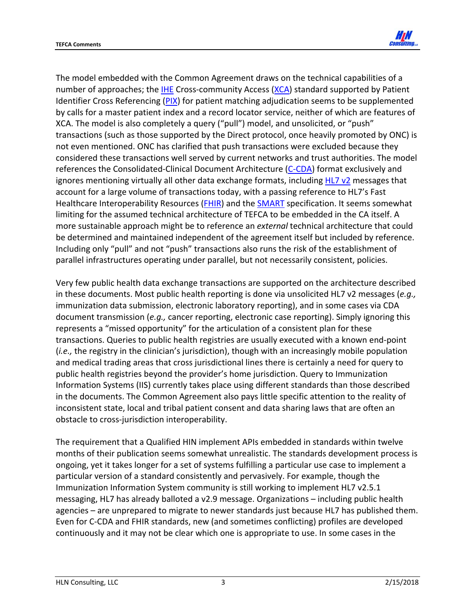

The model embedded with the Common Agreement draws on the technical capabilities of a number of approaches; the IHE Cross-community Access (XCA) standard supported by Patient Identifier Cross Referencing (PIX) for patient matching adjudication seems to be supplemented by calls for a master patient index and a record locator service, neither of which are features of XCA. The model is also completely a query ("pull") model, and unsolicited, or "push" transactions (such as those supported by the Direct protocol, once heavily promoted by ONC) is not even mentioned. ONC has clarified that push transactions were excluded because they considered these transactions well served by current networks and trust authorities. The model references the Consolidated‐Clinical Document Architecture (C‐CDA) format exclusively and ignores mentioning virtually all other data exchange formats, including HL7 v2 messages that account for a large volume of transactions today, with a passing reference to HL7's Fast Healthcare Interoperability Resources (FHIR) and the SMART specification. It seems somewhat limiting for the assumed technical architecture of TEFCA to be embedded in the CA itself. A more sustainable approach might be to reference an *external* technical architecture that could be determined and maintained independent of the agreement itself but included by reference. Including only "pull" and not "push" transactions also runs the risk of the establishment of parallel infrastructures operating under parallel, but not necessarily consistent, policies.

Very few public health data exchange transactions are supported on the architecture described in these documents. Most public health reporting is done via unsolicited HL7 v2 messages (*e.g.,* immunization data submission, electronic laboratory reporting), and in some cases via CDA document transmission (*e.g.,* cancer reporting, electronic case reporting). Simply ignoring this represents a "missed opportunity" for the articulation of a consistent plan for these transactions. Queries to public health registries are usually executed with a known end‐point (*i.e.,* the registry in the clinician's jurisdiction), though with an increasingly mobile population and medical trading areas that cross jurisdictional lines there is certainly a need for query to public health registries beyond the provider's home jurisdiction. Query to Immunization Information Systems (IIS) currently takes place using different standards than those described in the documents. The Common Agreement also pays little specific attention to the reality of inconsistent state, local and tribal patient consent and data sharing laws that are often an obstacle to cross‐jurisdiction interoperability.

The requirement that a Qualified HIN implement APIs embedded in standards within twelve months of their publication seems somewhat unrealistic. The standards development process is ongoing, yet it takes longer for a set of systems fulfilling a particular use case to implement a particular version of a standard consistently and pervasively. For example, though the Immunization Information System community is still working to implement HL7 v2.5.1 messaging, HL7 has already balloted a v2.9 message. Organizations – including public health agencies – are unprepared to migrate to newer standards just because HL7 has published them. Even for C‐CDA and FHIR standards, new (and sometimes conflicting) profiles are developed continuously and it may not be clear which one is appropriate to use. In some cases in the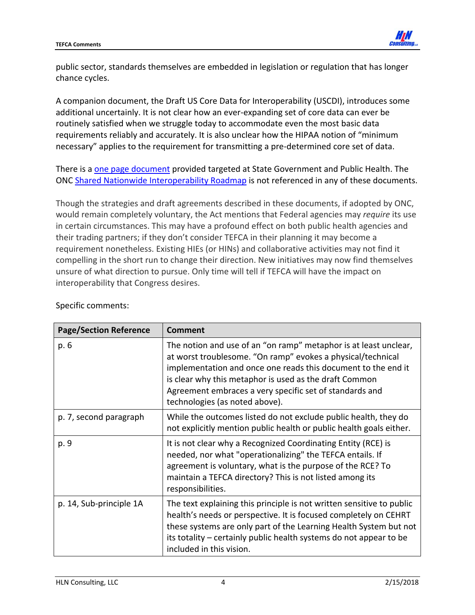

public sector, standards themselves are embedded in legislation or regulation that has longer chance cycles.

A companion document, the Draft US Core Data for Interoperability (USCDI), introduces some additional uncertainly. It is not clear how an ever‐expanding set of core data can ever be routinely satisfied when we struggle today to accommodate even the most basic data requirements reliably and accurately. It is also unclear how the HIPAA notion of "minimum necessary" applies to the requirement for transmitting a pre-determined core set of data.

There is a one page document provided targeted at State Government and Public Health. The ONC Shared Nationwide Interoperability Roadmap is not referenced in any of these documents.

Though the strategies and draft agreements described in these documents, if adopted by ONC, would remain completely voluntary, the Act mentions that Federal agencies may *require* its use in certain circumstances. This may have a profound effect on both public health agencies and their trading partners; if they don't consider TEFCA in their planning it may become a requirement nonetheless. Existing HIEs (or HINs) and collaborative activities may not find it compelling in the short run to change their direction. New initiatives may now find themselves unsure of what direction to pursue. Only time will tell if TEFCA will have the impact on interoperability that Congress desires.

| <b>Page/Section Reference</b> | <b>Comment</b>                                                                                                                                                                                                                                                                                                                                          |
|-------------------------------|---------------------------------------------------------------------------------------------------------------------------------------------------------------------------------------------------------------------------------------------------------------------------------------------------------------------------------------------------------|
| p. 6                          | The notion and use of an "on ramp" metaphor is at least unclear,<br>at worst troublesome. "On ramp" evokes a physical/technical<br>implementation and once one reads this document to the end it<br>is clear why this metaphor is used as the draft Common<br>Agreement embraces a very specific set of standards and<br>technologies (as noted above). |
| p. 7, second paragraph        | While the outcomes listed do not exclude public health, they do<br>not explicitly mention public health or public health goals either.                                                                                                                                                                                                                  |
| p. 9                          | It is not clear why a Recognized Coordinating Entity (RCE) is<br>needed, nor what "operationalizing" the TEFCA entails. If<br>agreement is voluntary, what is the purpose of the RCE? To<br>maintain a TEFCA directory? This is not listed among its<br>responsibilities.                                                                               |
| p. 14, Sub-principle 1A       | The text explaining this principle is not written sensitive to public<br>health's needs or perspective. It is focused completely on CEHRT<br>these systems are only part of the Learning Health System but not<br>its totality – certainly public health systems do not appear to be<br>included in this vision.                                        |

## Specific comments: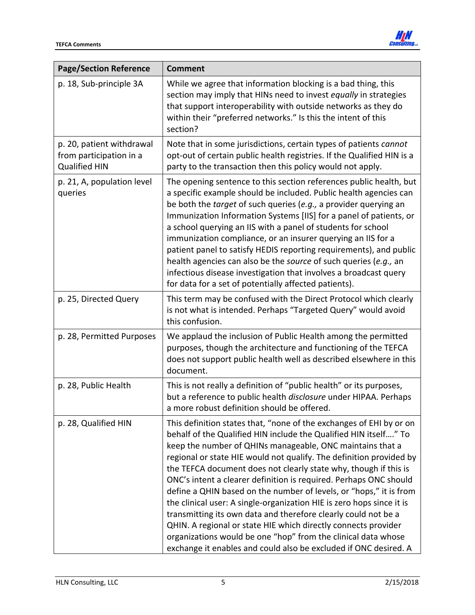

| <b>Page/Section Reference</b>                                                | <b>Comment</b>                                                                                                                                                                                                                                                                                                                                                                                                                                                                                                                                                                                                                                                                                                                                                                                                                               |
|------------------------------------------------------------------------------|----------------------------------------------------------------------------------------------------------------------------------------------------------------------------------------------------------------------------------------------------------------------------------------------------------------------------------------------------------------------------------------------------------------------------------------------------------------------------------------------------------------------------------------------------------------------------------------------------------------------------------------------------------------------------------------------------------------------------------------------------------------------------------------------------------------------------------------------|
| p. 18, Sub-principle 3A                                                      | While we agree that information blocking is a bad thing, this<br>section may imply that HINs need to invest equally in strategies<br>that support interoperability with outside networks as they do<br>within their "preferred networks." Is this the intent of this<br>section?                                                                                                                                                                                                                                                                                                                                                                                                                                                                                                                                                             |
| p. 20, patient withdrawal<br>from participation in a<br><b>Qualified HIN</b> | Note that in some jurisdictions, certain types of patients cannot<br>opt-out of certain public health registries. If the Qualified HIN is a<br>party to the transaction then this policy would not apply.                                                                                                                                                                                                                                                                                                                                                                                                                                                                                                                                                                                                                                    |
| p. 21, A, population level<br>queries                                        | The opening sentence to this section references public health, but<br>a specific example should be included. Public health agencies can<br>be both the target of such queries (e.g., a provider querying an<br>Immunization Information Systems [IIS] for a panel of patients, or<br>a school querying an IIS with a panel of students for school<br>immunization compliance, or an insurer querying an IIS for a<br>patient panel to satisfy HEDIS reporting requirements), and public<br>health agencies can also be the source of such queries (e.g., an<br>infectious disease investigation that involves a broadcast query<br>for data for a set of potentially affected patients).                                                                                                                                                     |
| p. 25, Directed Query                                                        | This term may be confused with the Direct Protocol which clearly<br>is not what is intended. Perhaps "Targeted Query" would avoid<br>this confusion.                                                                                                                                                                                                                                                                                                                                                                                                                                                                                                                                                                                                                                                                                         |
| p. 28, Permitted Purposes                                                    | We applaud the inclusion of Public Health among the permitted<br>purposes, though the architecture and functioning of the TEFCA<br>does not support public health well as described elsewhere in this<br>document.                                                                                                                                                                                                                                                                                                                                                                                                                                                                                                                                                                                                                           |
| p. 28, Public Health                                                         | This is not really a definition of "public health" or its purposes,<br>but a reference to public health disclosure under HIPAA. Perhaps<br>a more robust definition should be offered.                                                                                                                                                                                                                                                                                                                                                                                                                                                                                                                                                                                                                                                       |
| p. 28, Qualified HIN                                                         | This definition states that, "none of the exchanges of EHI by or on<br>behalf of the Qualified HIN include the Qualified HIN itself" To<br>keep the number of QHINs manageable, ONC maintains that a<br>regional or state HIE would not qualify. The definition provided by<br>the TEFCA document does not clearly state why, though if this is<br>ONC's intent a clearer definition is required. Perhaps ONC should<br>define a QHIN based on the number of levels, or "hops," it is from<br>the clinical user: A single-organization HIE is zero hops since it is<br>transmitting its own data and therefore clearly could not be a<br>QHIN. A regional or state HIE which directly connects provider<br>organizations would be one "hop" from the clinical data whose<br>exchange it enables and could also be excluded if ONC desired. A |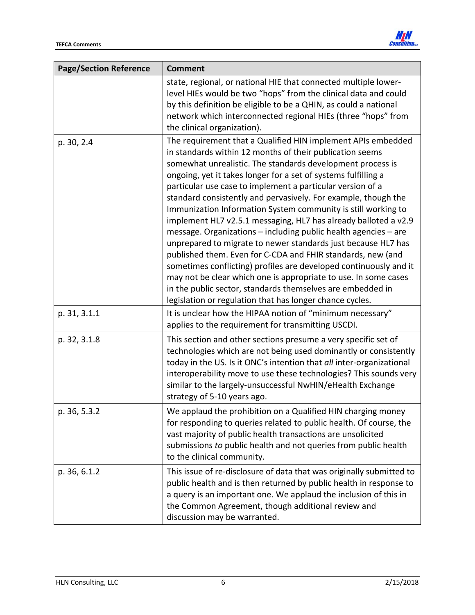

| <b>Page/Section Reference</b> | <b>Comment</b>                                                                                                                                                                                                                                                                                                                                                                                                                                                                                                                                                                                                                                                                                                                                                                                                                                                                                                                                                                                    |
|-------------------------------|---------------------------------------------------------------------------------------------------------------------------------------------------------------------------------------------------------------------------------------------------------------------------------------------------------------------------------------------------------------------------------------------------------------------------------------------------------------------------------------------------------------------------------------------------------------------------------------------------------------------------------------------------------------------------------------------------------------------------------------------------------------------------------------------------------------------------------------------------------------------------------------------------------------------------------------------------------------------------------------------------|
|                               | state, regional, or national HIE that connected multiple lower-<br>level HIEs would be two "hops" from the clinical data and could<br>by this definition be eligible to be a QHIN, as could a national<br>network which interconnected regional HIEs (three "hops" from<br>the clinical organization).                                                                                                                                                                                                                                                                                                                                                                                                                                                                                                                                                                                                                                                                                            |
| p. 30, 2.4                    | The requirement that a Qualified HIN implement APIs embedded<br>in standards within 12 months of their publication seems<br>somewhat unrealistic. The standards development process is<br>ongoing, yet it takes longer for a set of systems fulfilling a<br>particular use case to implement a particular version of a<br>standard consistently and pervasively. For example, though the<br>Immunization Information System community is still working to<br>implement HL7 v2.5.1 messaging, HL7 has already balloted a v2.9<br>message. Organizations - including public health agencies - are<br>unprepared to migrate to newer standards just because HL7 has<br>published them. Even for C-CDA and FHIR standards, new (and<br>sometimes conflicting) profiles are developed continuously and it<br>may not be clear which one is appropriate to use. In some cases<br>in the public sector, standards themselves are embedded in<br>legislation or regulation that has longer chance cycles. |
| p. 31, 3.1.1                  | It is unclear how the HIPAA notion of "minimum necessary"<br>applies to the requirement for transmitting USCDI.                                                                                                                                                                                                                                                                                                                                                                                                                                                                                                                                                                                                                                                                                                                                                                                                                                                                                   |
| p. 32, 3.1.8                  | This section and other sections presume a very specific set of<br>technologies which are not being used dominantly or consistently<br>today in the US. Is it ONC's intention that all inter-organizational<br>interoperability move to use these technologies? This sounds very<br>similar to the largely-unsuccessful NwHIN/eHealth Exchange<br>strategy of 5-10 years ago.                                                                                                                                                                                                                                                                                                                                                                                                                                                                                                                                                                                                                      |
| p. 36, 5.3.2                  | We applaud the prohibition on a Qualified HIN charging money<br>for responding to queries related to public health. Of course, the<br>vast majority of public health transactions are unsolicited<br>submissions to public health and not queries from public health<br>to the clinical community.                                                                                                                                                                                                                                                                                                                                                                                                                                                                                                                                                                                                                                                                                                |
| p. 36, 6.1.2                  | This issue of re-disclosure of data that was originally submitted to<br>public health and is then returned by public health in response to<br>a query is an important one. We applaud the inclusion of this in<br>the Common Agreement, though additional review and<br>discussion may be warranted.                                                                                                                                                                                                                                                                                                                                                                                                                                                                                                                                                                                                                                                                                              |